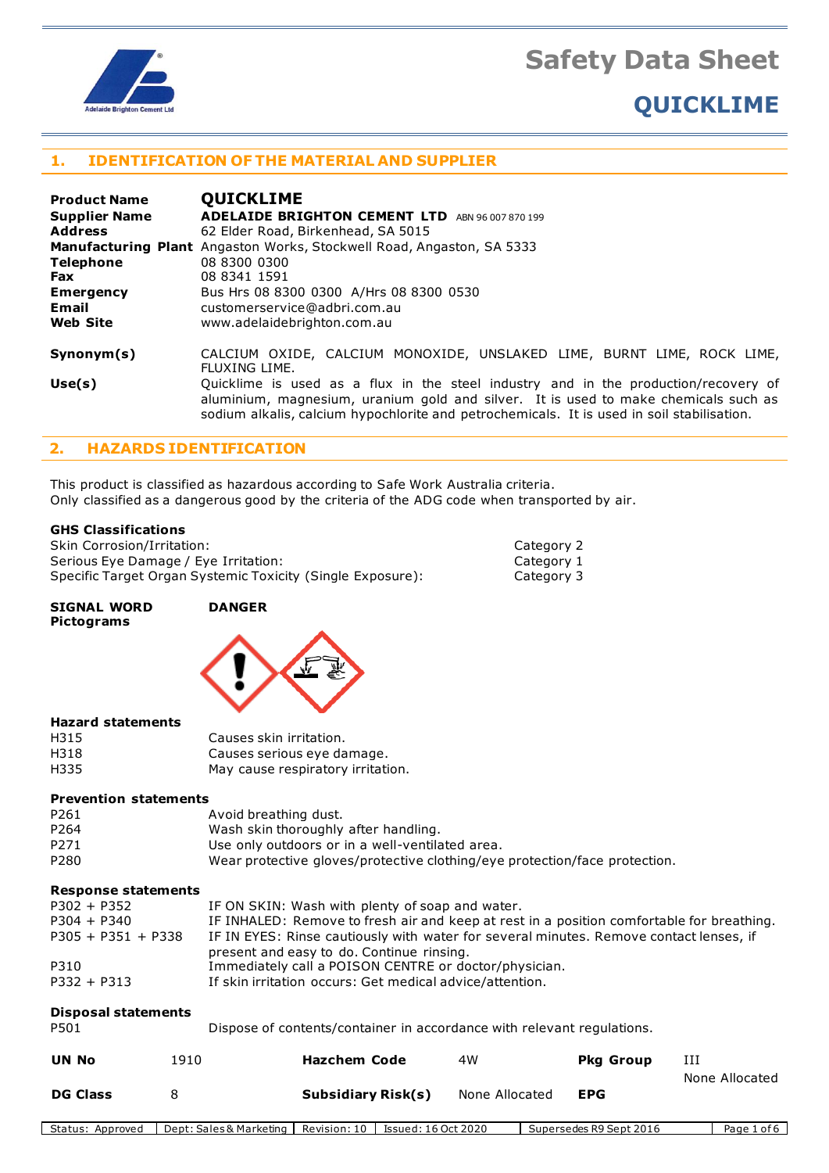

# **QUICKLIME**

## **1. IDENTIFICATION OF THE MATERIAL AND SUPPLIER**

| <b>Product Name</b>  | <b>QUICKLIME</b>                                                                                                                                                                                                                                                         |
|----------------------|--------------------------------------------------------------------------------------------------------------------------------------------------------------------------------------------------------------------------------------------------------------------------|
| <b>Supplier Name</b> | ADELAIDE BRIGHTON CEMENT LTD ABN 96 007 870 199                                                                                                                                                                                                                          |
| <b>Address</b>       | 62 Elder Road, Birkenhead, SA 5015                                                                                                                                                                                                                                       |
|                      | <b>Manufacturing Plant</b> Angaston Works, Stockwell Road, Angaston, SA 5333                                                                                                                                                                                             |
| <b>Telephone</b>     | 08 8300 0300                                                                                                                                                                                                                                                             |
| <b>Fax</b>           | 08 8341 1591                                                                                                                                                                                                                                                             |
| <b>Emergency</b>     | Bus Hrs 08 8300 0300 A/Hrs 08 8300 0530                                                                                                                                                                                                                                  |
| Email                | customerservice@adbri.com.au                                                                                                                                                                                                                                             |
| <b>Web Site</b>      | www.adelaidebrighton.com.au                                                                                                                                                                                                                                              |
| Synonym(s)           | CALCIUM OXIDE, CALCIUM MONOXIDE, UNSLAKED LIME, BURNT LIME, ROCK LIME,<br>FLUXING LIME.                                                                                                                                                                                  |
| Use(s)               | Quicklime is used as a flux in the steel industry and in the production/recovery of<br>aluminium, magnesium, uranium gold and silver. It is used to make chemicals such as<br>sodium alkalis, calcium hypochlorite and petrochemicals. It is used in soil stabilisation. |

Category 2 Category 1 Category 3

## **2. HAZARDS IDENTIFICATION**

This product is classified as hazardous according to Safe Work Australia criteria. Only classified as a dangerous good by the criteria of the ADG code when transported by air.

#### **GHS Classifications**

| Skin Corrosion/Irritation:                                 |  |
|------------------------------------------------------------|--|
| Serious Eye Damage / Eye Irritation:                       |  |
| Specific Target Organ Systemic Toxicity (Single Exposure): |  |

#### **SIGNAL WORD DANGER Pictograms**



#### **Hazard statements**

| H315 | Causes skin irritation.           |
|------|-----------------------------------|
| H318 | Causes serious eye damage.        |
| H335 | May cause respiratory irritation. |

#### **Prevention statements**

| P261             | Avoid breathing dust.                                                      |
|------------------|----------------------------------------------------------------------------|
| P <sub>264</sub> | Wash skin thoroughly after handling.                                       |
| P271             | Use only outdoors or in a well-ventilated area.                            |
| P280             | Wear protective gloves/protective clothing/eye protection/face protection. |

#### **Response statements**

| <b>Disposal statements</b> |                                                                                           |
|----------------------------|-------------------------------------------------------------------------------------------|
| $P332 + P313$              | If skin irritation occurs: Get medical advice/attention.                                  |
| P310                       | Immediately call a POISON CENTRE or doctor/physician.                                     |
|                            | present and easy to do. Continue rinsing.                                                 |
| $P305 + P351 + P338$       | IF IN EYES: Rinse cautiously with water for several minutes. Remove contact lenses, if    |
| $P304 + P340$              | IF INHALED: Remove to fresh air and keep at rest in a position comfortable for breathing. |
| $P302 + P352$              | IF ON SKIN: Wash with plenty of soap and water.                                           |

| P501 | Dispose of contents/container in accordance with relevant regulations. |  |
|------|------------------------------------------------------------------------|--|
|      |                                                                        |  |

| <b>UN No</b>    | 1910 | <b>Hazchem Code</b> | 4W             | <b>Pkg Group</b> | ИI             |
|-----------------|------|---------------------|----------------|------------------|----------------|
|                 |      |                     |                |                  | None Allocated |
| <b>DG Class</b> |      | Subsidiary Risk(s)  | None Allocated | EPG              |                |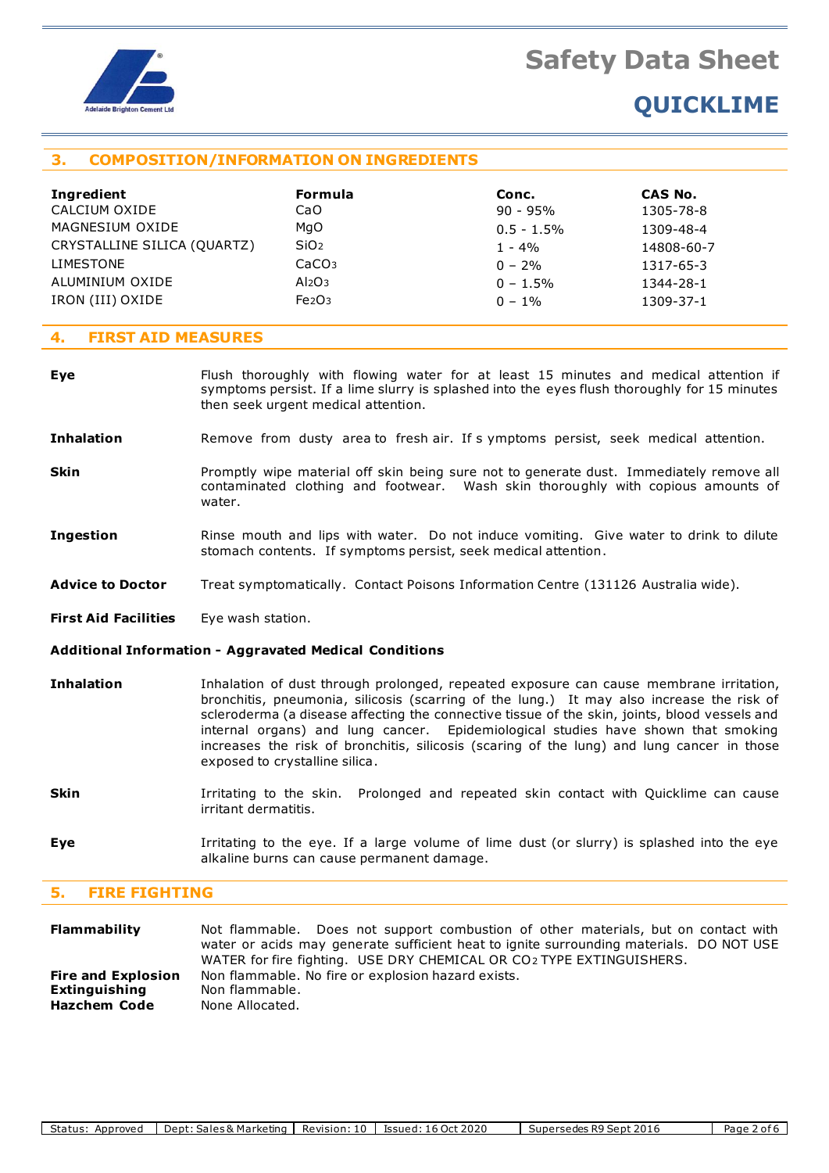

# **QUICKLIME**

# **3. COMPOSITION/INFORMATION ON INGREDIENTS**

| Ingredient                  | <b>Formula</b>                 | Conc.         | CAS No.    |
|-----------------------------|--------------------------------|---------------|------------|
| CALCIUM OXIDE               | CaO                            | $90 - 95%$    | 1305-78-8  |
| MAGNESIUM OXIDE             | MgO                            | $0.5 - 1.5\%$ | 1309-48-4  |
| CRYSTALLINE SILICA (QUARTZ) | SiO <sub>2</sub>               | $1 - 4\%$     | 14808-60-7 |
| <b>LIMESTONE</b>            | CaCO <sub>3</sub>              | $0 - 2\%$     | 1317-65-3  |
| ALUMINIUM OXIDE             | Al <sub>2</sub> O <sub>3</sub> | $0 - 1.5\%$   | 1344-28-1  |
| IRON (III) OXIDE            | Fe <sub>2</sub> O <sub>3</sub> | $0 - 1\%$     | 1309-37-1  |

#### **4. FIRST AID MEASURES**

- **Eye** Flush thoroughly with flowing water for at least 15 minutes and medical attention if symptoms persist. If a lime slurry is splashed into the eyes flush thoroughly for 15 minutes then seek urgent medical attention.
- **Inhalation** Remove from dusty area to fresh air. If s ymptoms persist, seek medical attention.
- **Skin** Promptly wipe material off skin being sure not to generate dust. Immediately remove all contaminated clothing and footwear. Wash skin thoroughly with copious amounts of water.
- **Ingestion** Rinse mouth and lips with water. Do not induce vomiting. Give water to drink to dilute stomach contents. If symptoms persist, seek medical attention.
- **Advice to Doctor** Treat symptomatically. Contact Poisons Information Centre (131126 Australia wide).
- **First Aid Facilities** Eye wash station.

#### **Additional Information - Aggravated Medical Conditions**

- **Inhalation** Inhalation of dust through prolonged, repeated exposure can cause membrane irritation, bronchitis, pneumonia, silicosis (scarring of the lung.) It may also increase the risk of scleroderma (a disease affecting the connective tissue of the skin, joints, blood vessels and internal organs) and lung cancer. Epidemiological studies have shown that smoking increases the risk of bronchitis, silicosis (scaring of the lung) and lung cancer in those exposed to crystalline silica.
- **Skin I**rritating to the skin. Prolonged and repeated skin contact with Quicklime can cause irritant dermatitis.
- **Eye I**rritating to the eye. If a large volume of lime dust (or slurry) is splashed into the eye alkaline burns can cause permanent damage.

## **5. FIRE FIGHTING**

| Flammability              | Not flammable. Does not support combustion of other materials, but on contact with<br>water or acids may generate sufficient heat to ignite surrounding materials. DO NOT USE<br>WATER for fire fighting. USE DRY CHEMICAL OR CO2 TYPE EXTINGUISHERS. |
|---------------------------|-------------------------------------------------------------------------------------------------------------------------------------------------------------------------------------------------------------------------------------------------------|
| <b>Fire and Explosion</b> | Non flammable. No fire or explosion hazard exists.                                                                                                                                                                                                    |
| Extinguishing             | Non flammable.                                                                                                                                                                                                                                        |
| <b>Hazchem Code</b>       | None Allocated.                                                                                                                                                                                                                                       |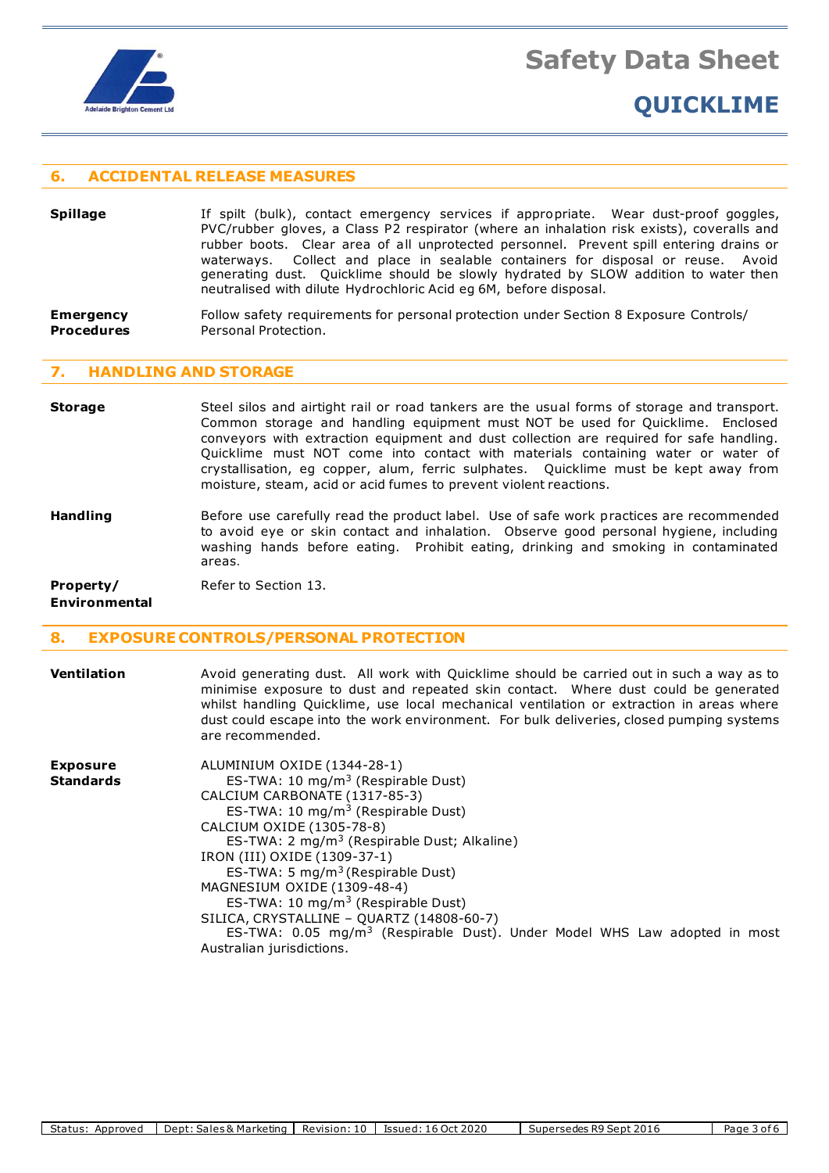

#### **6. ACCIDENTAL RELEASE MEASURES**

- **Spillage** If spilt (bulk), contact emergency services if appropriate. Wear dust-proof goggles, PVC/rubber gloves, a Class P2 respirator (where an inhalation risk exists), coveralls and rubber boots. Clear area of all unprotected personnel. Prevent spill entering drains or waterways. Collect and place in sealable containers for disposal or reuse. Avoid generating dust. Quicklime should be slowly hydrated by SLOW addition to water then neutralised with dilute Hydrochloric Acid eg 6M, before disposal.
- **Emergency** Follow safety requirements for personal protection under Section 8 Exposure Controls/ **Procedures** Personal Protection.

#### **7. HANDLING AND STORAGE**

- **Storage** Steel silos and airtight rail or road tankers are the usual forms of storage and transport. Common storage and handling equipment must NOT be used for Quicklime. Enclosed conveyors with extraction equipment and dust collection are required for safe handling. Quicklime must NOT come into contact with materials containing water or water of crystallisation, eg copper, alum, ferric sulphates. Quicklime must be kept away from moisture, steam, acid or acid fumes to prevent violent reactions.
- **Handling** Before use carefully read the product label. Use of safe work practices are recommended to avoid eye or skin contact and inhalation. Observe good personal hygiene, including washing hands before eating. Prohibit eating, drinking and smoking in contaminated areas.

**Property/** Refer to Section 13.

**Environmental**

## **8. EXPOSURE CONTROLS/PERSONAL PROTECTION**

|                 | minimise exposure to dust and repeated skin contact. Where dust could be generated<br>whilst handling Quicklime, use local mechanical ventilation or extraction in areas where<br>dust could escape into the work environment. For bulk deliveries, closed pumping systems<br>are recommended. |
|-----------------|------------------------------------------------------------------------------------------------------------------------------------------------------------------------------------------------------------------------------------------------------------------------------------------------|
| <b>Exposure</b> | ALUMINIUM OXIDE (1344-28-1)                                                                                                                                                                                                                                                                    |

**Ventilation** Avoid generating dust. All work with Quicklime should be carried out in such a way as to

**Standards** ES-TWA: 10 mg/m<sup>3</sup> (Respirable Dust) CALCIUM CARBONATE (1317-85-3) ES-TWA: 10 mg/m<sup>3</sup> (Respirable Dust) CALCIUM OXIDE (1305-78-8) ES-TWA: 2 mg/m<sup>3</sup> (Respirable Dust; Alkaline) IRON (III) OXIDE (1309-37-1) ES-TWA: 5 mg/m<sup>3</sup> (Respirable Dust) MAGNESIUM OXIDE (1309-48-4) ES-TWA: 10 mg/m<sup>3</sup> (Respirable Dust) SILICA, CRYSTALLINE – QUARTZ (14808-60-7) ES-TWA:  $0.05 \, \text{mg/m}^3$  (Respirable Dust). Under Model WHS Law adopted in most Australian jurisdictions.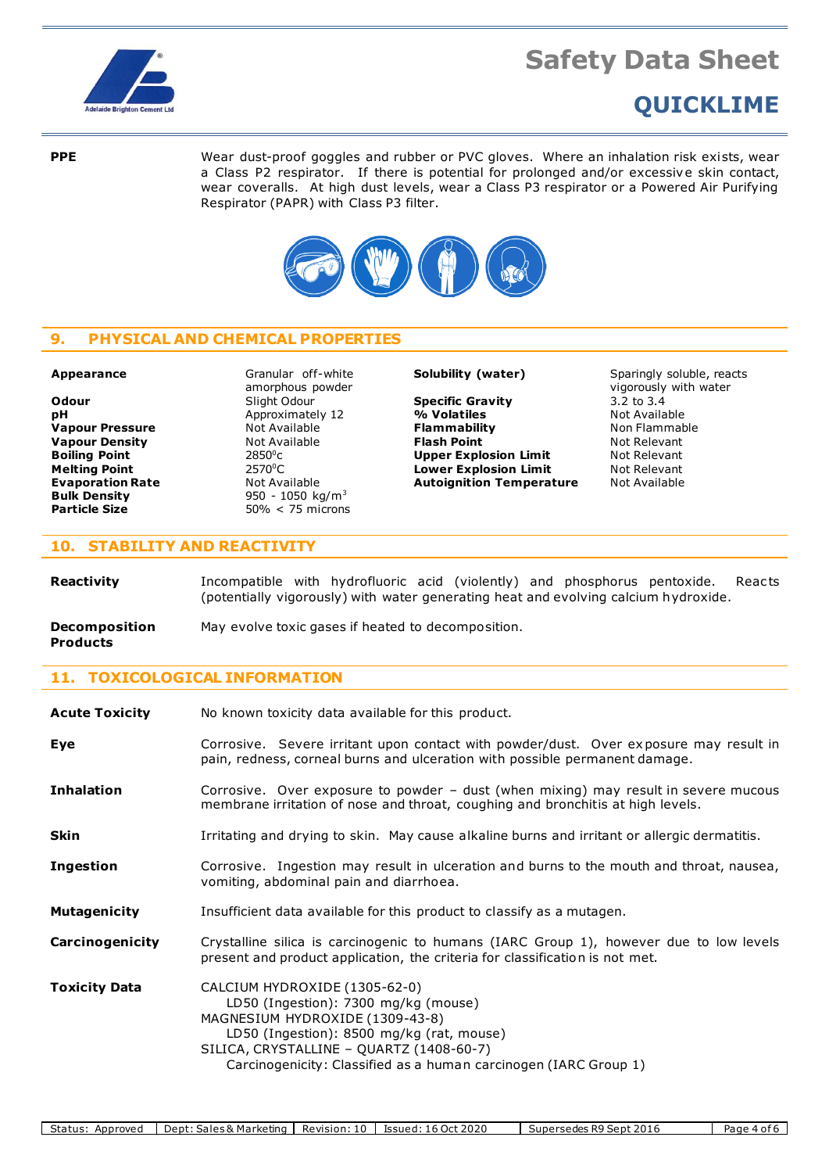

# **QUICKLIME**

**PPE** Wear dust-proof goggles and rubber or PVC gloves. Where an inhalation risk exists, wear a Class P2 respirator. If there is potential for prolonged and/or excessive skin contact, wear coveralls. At high dust levels, wear a Class P3 respirator or a Powered Air Purifying Respirator (PAPR) with Class P3 filter.



# **9. PHYSICAL AND CHEMICAL PROPERTIES**

**pH** Approximately 12 **Boiling Point** 2850<sup>°</sup>C<br> **Melting Point** 2570<sup>°</sup>C **Bulk Density** 950 - 1050 kg/m<sup>3</sup><br> **Particle Size** 50% < 75 microns

**Appearance** Granular off-white amorphous powder **Evaporation Rate Not Available <b>Autoignition Temperature Bulk Density Autoignition Temperature Bulk Density Particle Size** 50% < 75 microns

**Odour** Slight Odour **Specific Gravity** 3.2 to 3.4<br> **pH Specific Gravity** 3.2 to 3.4<br> **pH Specific Specific Gravity** 3.2 to 3.4 **Vapour Pressure Not Available <b>Flammability** Non Flammable **Vapour Density Not Available <b>Flash Point Not Relevant Relevant Boiling Point Not Relevant Boiling Point Not Relevant Upper Explosion Limit** Not Relevant<br> **Lower Explosion Limit** Not Relevant **Melting Point** 2570<sup>0</sup>C **Lower Explosion Limit** Not Relevant

**Solubility (water)** Sparingly soluble, reacts vigorously with water

### **10. STABILITY AND REACTIVITY**

**Reactivity Incompatible with hydrofluoric acid (violently) and phosphorus pentoxide. Reacts** (potentially vigorously) with water generating heat and evolving calcium hydroxide.

**Decomposition** May evolve toxic gases if heated to decomposition.

## **Products**

**11. TOXICOLOGICAL INFORMATION**

| <b>Acute Toxicity</b> | No known toxicity data available for this product.                                                                                                                                                                                                                    |
|-----------------------|-----------------------------------------------------------------------------------------------------------------------------------------------------------------------------------------------------------------------------------------------------------------------|
| Eye                   | Corrosive. Severe irritant upon contact with powder/dust. Over exposure may result in<br>pain, redness, corneal burns and ulceration with possible permanent damage.                                                                                                  |
| <b>Inhalation</b>     | Corrosive. Over exposure to powder - dust (when mixing) may result in severe mucous<br>membrane irritation of nose and throat, coughing and bronchitis at high levels.                                                                                                |
| <b>Skin</b>           | Irritating and drying to skin. May cause alkaline burns and irritant or allergic dermatitis.                                                                                                                                                                          |
| <b>Ingestion</b>      | Corrosive. Ingestion may result in ulceration and burns to the mouth and throat, nausea,<br>vomiting, abdominal pain and diarrhoea.                                                                                                                                   |
| <b>Mutagenicity</b>   | Insufficient data available for this product to classify as a mutagen.                                                                                                                                                                                                |
| Carcinogenicity       | Crystalline silica is carcinogenic to humans (IARC Group 1), however due to low levels<br>present and product application, the criteria for classification is not met.                                                                                                |
| <b>Toxicity Data</b>  | CALCIUM HYDROXIDE (1305-62-0)<br>LD50 (Ingestion): 7300 mg/kg (mouse)<br>MAGNESIUM HYDROXIDE (1309-43-8)<br>LD50 (Ingestion): 8500 mg/kg (rat, mouse)<br>SILICA, CRYSTALLINE - QUARTZ (1408-60-7)<br>Carcinogenicity: Classified as a human carcinogen (IARC Group 1) |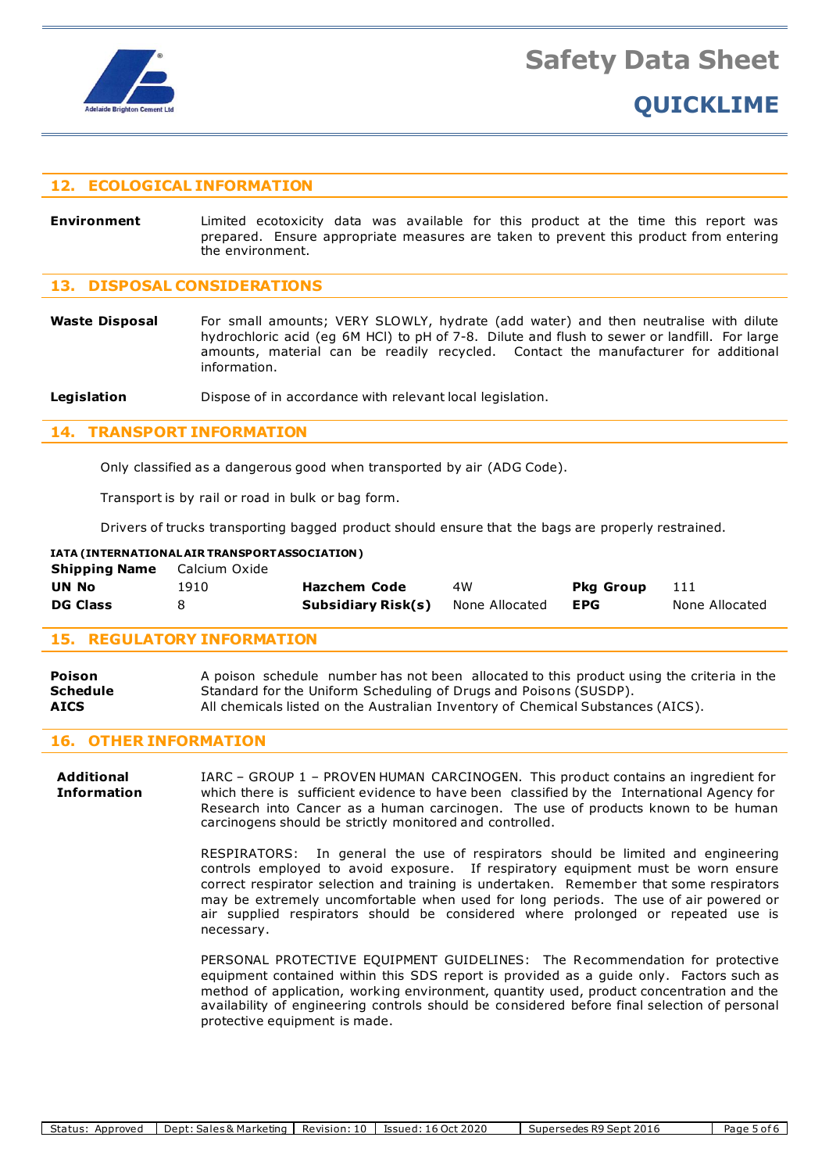

## **12. ECOLOGICAL INFORMATION**

**Environment** Limited ecotoxicity data was available for this product at the time this report was prepared. Ensure appropriate measures are taken to prevent this product from entering the environment.

### **13. DISPOSAL CONSIDERATIONS**

Waste Disposal For small amounts; VERY SLOWLY, hydrate (add water) and then neutralise with dilute hydrochloric acid (eg 6M HCl) to pH of 7-8. Dilute and flush to sewer or landfill. For large amounts, material can be readily recycled. Contact the manufacturer for additional information.

**Legislation Dispose of in accordance with relevant local legislation.** 

#### **14. TRANSPORT INFORMATION**

Only classified as a dangerous good when transported by air (ADG Code).

Transport is by rail or road in bulk or bag form.

Drivers of trucks transporting bagged product should ensure that the bags are properly restrained.

| IATA (INTERNATIONAL AIR TRANSPORT ASSOCIATION) |               |                     |                |                  |                |  |  |
|------------------------------------------------|---------------|---------------------|----------------|------------------|----------------|--|--|
| <b>Shipping Name</b>                           | Calcium Oxide |                     |                |                  |                |  |  |
| <b>UN No</b>                                   | 1910          | <b>Hazchem Code</b> | 4W             | <b>Pka Group</b> | 111            |  |  |
| <b>DG Class</b>                                |               | Subsidiary Risk(s)  | None Allocated | <b>EPG</b>       | None Allocated |  |  |

#### **15. REGULATORY INFORMATION**

| Poison      | A poison schedule number has not been allocated to this product using the criteria in the |
|-------------|-------------------------------------------------------------------------------------------|
| Schedule    | Standard for the Uniform Scheduling of Drugs and Poisons (SUSDP).                         |
| <b>AICS</b> | All chemicals listed on the Australian Inventory of Chemical Substances (AICS).           |

## **16. OTHER INFORMATION**

**Additional** IARC – GROUP 1 – PROVEN HUMAN CARCINOGEN. This product contains an ingredient for **Information** which there is sufficient evidence to have been classified by the International Agency for Research into Cancer as a human carcinogen. The use of products known to be human carcinogens should be strictly monitored and controlled.

> RESPIRATORS: In general the use of respirators should be limited and engineering controls employed to avoid exposure. If respiratory equipment must be worn ensure correct respirator selection and training is undertaken. Remember that some respirators may be extremely uncomfortable when used for long periods. The use of air powered or air supplied respirators should be considered where prolonged or repeated use is necessary.

> PERSONAL PROTECTIVE EQUIPMENT GUIDELINES: The Recommendation for protective equipment contained within this SDS report is provided as a guide only. Factors such as method of application, working environment, quantity used, product concentration and the availability of engineering controls should be considered before final selection of personal protective equipment is made.